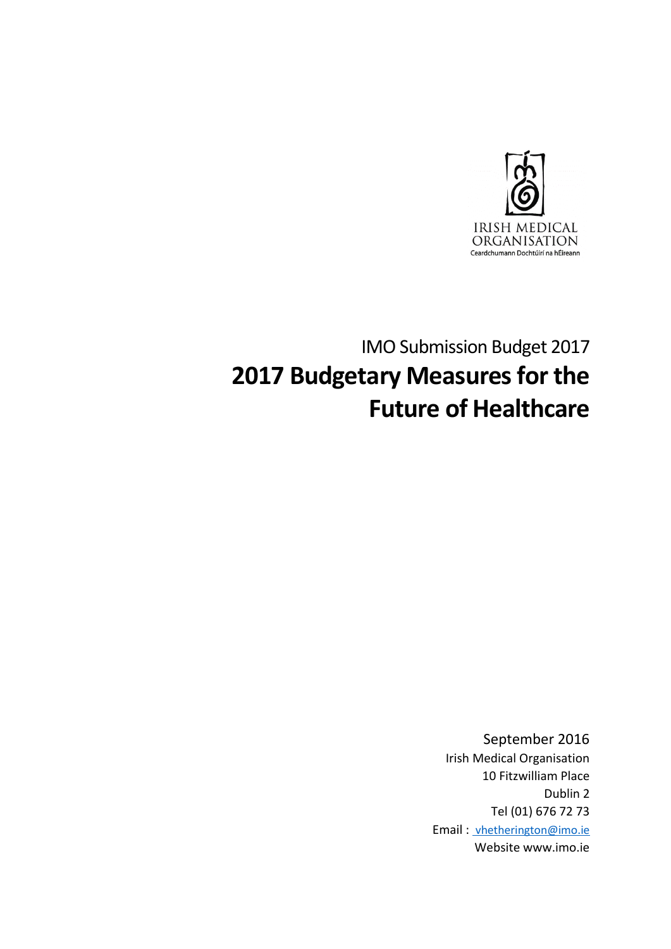

# IMO Submission Budget 2017 **2017 Budgetary Measures for the Future of Healthcare**

September 2016 Irish Medical Organisation 10 Fitzwilliam Place Dublin 2 Tel (01) 676 72 73 Email : [vhetherington@imo.ie](mailto:%20vhetherington@imo.ie) Website www.imo.ie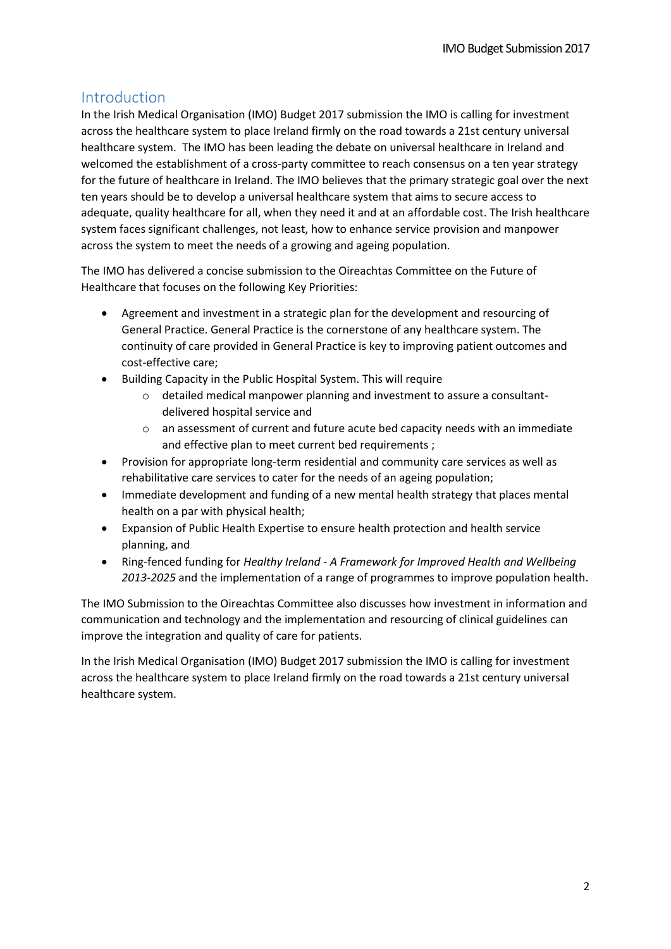# Introduction

In the Irish Medical Organisation (IMO) Budget 2017 submission the IMO is calling for investment across the healthcare system to place Ireland firmly on the road towards a 21st century universal healthcare system. The IMO has been leading the debate on universal healthcare in Ireland and welcomed the establishment of a cross-party committee to reach consensus on a ten year strategy for the future of healthcare in Ireland. The IMO believes that the primary strategic goal over the next ten years should be to develop a universal healthcare system that aims to secure access to adequate, quality healthcare for all, when they need it and at an affordable cost. The Irish healthcare system faces significant challenges, not least, how to enhance service provision and manpower across the system to meet the needs of a growing and ageing population.

The IMO has delivered a concise submission to the Oireachtas Committee on the Future of Healthcare that focuses on the following Key Priorities:

- Agreement and investment in a strategic plan for the development and resourcing of General Practice. General Practice is the cornerstone of any healthcare system. The continuity of care provided in General Practice is key to improving patient outcomes and cost-effective care;
- Building Capacity in the Public Hospital System. This will require
	- o detailed medical manpower planning and investment to assure a consultantdelivered hospital service and
	- o an assessment of current and future acute bed capacity needs with an immediate and effective plan to meet current bed requirements ;
- Provision for appropriate long-term residential and community care services as well as rehabilitative care services to cater for the needs of an ageing population;
- Immediate development and funding of a new mental health strategy that places mental health on a par with physical health;
- Expansion of Public Health Expertise to ensure health protection and health service planning, and
- Ring-fenced funding for *Healthy Ireland - A Framework for Improved Health and Wellbeing 2013-2025* and the implementation of a range of programmes to improve population health.

The IMO Submission to the Oireachtas Committee also discusses how investment in information and communication and technology and the implementation and resourcing of clinical guidelines can improve the integration and quality of care for patients.

In the Irish Medical Organisation (IMO) Budget 2017 submission the IMO is calling for investment across the healthcare system to place Ireland firmly on the road towards a 21st century universal healthcare system.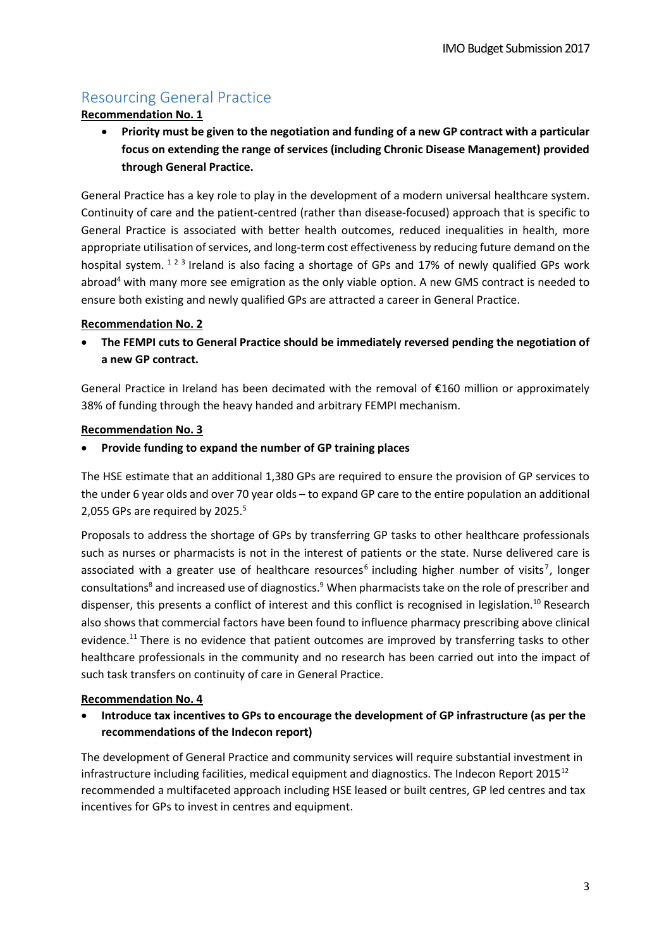# Resourcing General Practice

#### **Recommendation No. 1**

 **Priority must be given to the negotiation and funding of a new GP contract with a particular focus on extending the range of services (including Chronic Disease Management) provided through General Practice.** 

General Practice has a key role to play in the development of a modern universal healthcare system. Continuity of care and the patient-centred (rather than disease-focused) approach that is specific to General Practice is associated with better health outcomes, reduced inequalities in health, more appropriate utilisation of services, and long-term cost effectiveness by reducing future demand on the hospital system. <sup>123</sup> Ireland is also facing a shortage of GPs and 17% of newly qualified GPs work abroad<sup>4</sup> with many more see emigration as the only viable option. A new GMS contract is needed to ensure both existing and newly qualified GPs are attracted a career in General Practice.

#### **Recommendation No. 2**

 **The FEMPI cuts to General Practice should be immediately reversed pending the negotiation of a new GP contract.** 

General Practice in Ireland has been decimated with the removal of €160 million or approximately 38% of funding through the heavy handed and arbitrary FEMPI mechanism.

#### **Recommendation No. 3**

**Provide funding to expand the number of GP training places** 

The HSE estimate that an additional 1,380 GPs are required to ensure the provision of GP services to the under 6 year olds and over 70 year olds – to expand GP care to the entire population an additional 2,055 GPs are required by 2025.<sup>5</sup>

Proposals to address the shortage of GPs by transferring GP tasks to other healthcare professionals such as nurses or pharmacists is not in the interest of patients or the state. Nurse delivered care is associated with a greater use of healthcare resources<sup>6</sup> including higher number of visits<sup>7</sup>, longer consultations<sup>8</sup> and increased use of diagnostics.<sup>9</sup> When pharmacists take on the role of prescriber and dispenser, this presents a conflict of interest and this conflict is recognised in legislation.<sup>10</sup> Research also shows that commercial factors have been found to influence pharmacy prescribing above clinical evidence.<sup>11</sup> There is no evidence that patient outcomes are improved by transferring tasks to other healthcare professionals in the community and no research has been carried out into the impact of such task transfers on continuity of care in General Practice.

#### **Recommendation No. 4**

 **Introduce tax incentives to GPs to encourage the development of GP infrastructure (as per the recommendations of the Indecon report)**

The development of General Practice and community services will require substantial investment in infrastructure including facilities, medical equipment and diagnostics. The Indecon Report  $2015^{12}$ recommended a multifaceted approach including HSE leased or built centres, GP led centres and tax incentives for GPs to invest in centres and equipment.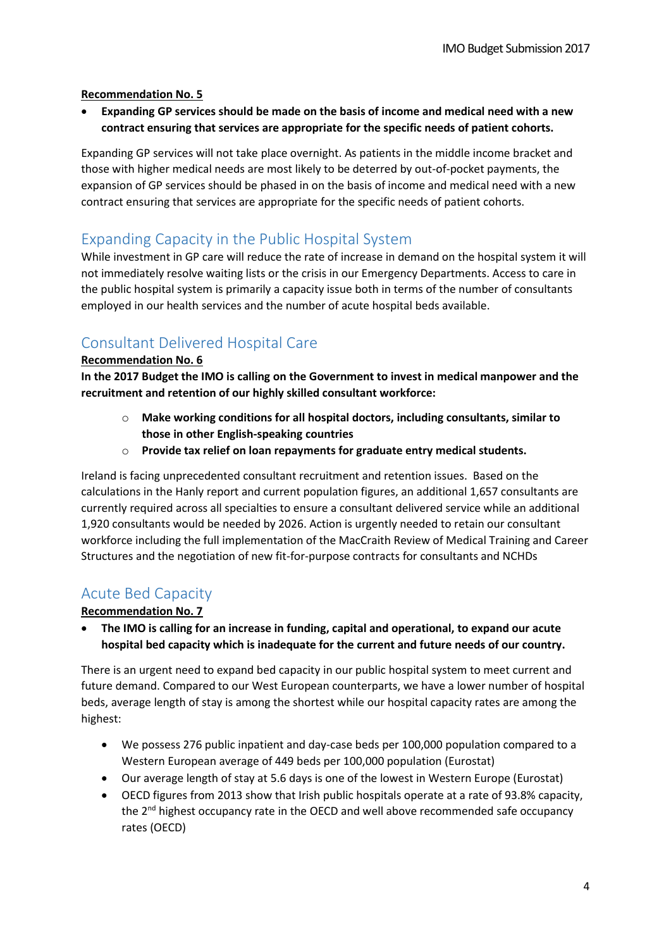#### **Recommendation No. 5**

 **Expanding GP services should be made on the basis of income and medical need with a new contract ensuring that services are appropriate for the specific needs of patient cohorts.** 

Expanding GP services will not take place overnight. As patients in the middle income bracket and those with higher medical needs are most likely to be deterred by out-of-pocket payments, the expansion of GP services should be phased in on the basis of income and medical need with a new contract ensuring that services are appropriate for the specific needs of patient cohorts.

### Expanding Capacity in the Public Hospital System

While investment in GP care will reduce the rate of increase in demand on the hospital system it will not immediately resolve waiting lists or the crisis in our Emergency Departments. Access to care in the public hospital system is primarily a capacity issue both in terms of the number of consultants employed in our health services and the number of acute hospital beds available.

# Consultant Delivered Hospital Care

#### **Recommendation No. 6**

**In the 2017 Budget the IMO is calling on the Government to invest in medical manpower and the recruitment and retention of our highly skilled consultant workforce:** 

- o **Make working conditions for all hospital doctors, including consultants, similar to those in other English-speaking countries**
- o **Provide tax relief on loan repayments for graduate entry medical students.**

Ireland is facing unprecedented consultant recruitment and retention issues. Based on the calculations in the Hanly report and current population figures, an additional 1,657 consultants are currently required across all specialties to ensure a consultant delivered service while an additional 1,920 consultants would be needed by 2026. Action is urgently needed to retain our consultant workforce including the full implementation of the MacCraith Review of Medical Training and Career Structures and the negotiation of new fit-for-purpose contracts for consultants and NCHDs

### Acute Bed Capacity

#### **Recommendation No. 7**

 **The IMO is calling for an increase in funding, capital and operational, to expand our acute hospital bed capacity which is inadequate for the current and future needs of our country.** 

There is an urgent need to expand bed capacity in our public hospital system to meet current and future demand. Compared to our West European counterparts, we have a lower number of hospital beds, average length of stay is among the shortest while our hospital capacity rates are among the highest:

- We possess 276 public inpatient and day-case beds per 100,000 population compared to a Western European average of 449 beds per 100,000 population (Eurostat)
- Our average length of stay at 5.6 days is one of the lowest in Western Europe (Eurostat)
- OECD figures from 2013 show that Irish public hospitals operate at a rate of 93.8% capacity, the 2<sup>nd</sup> highest occupancy rate in the OECD and well above recommended safe occupancy rates (OECD)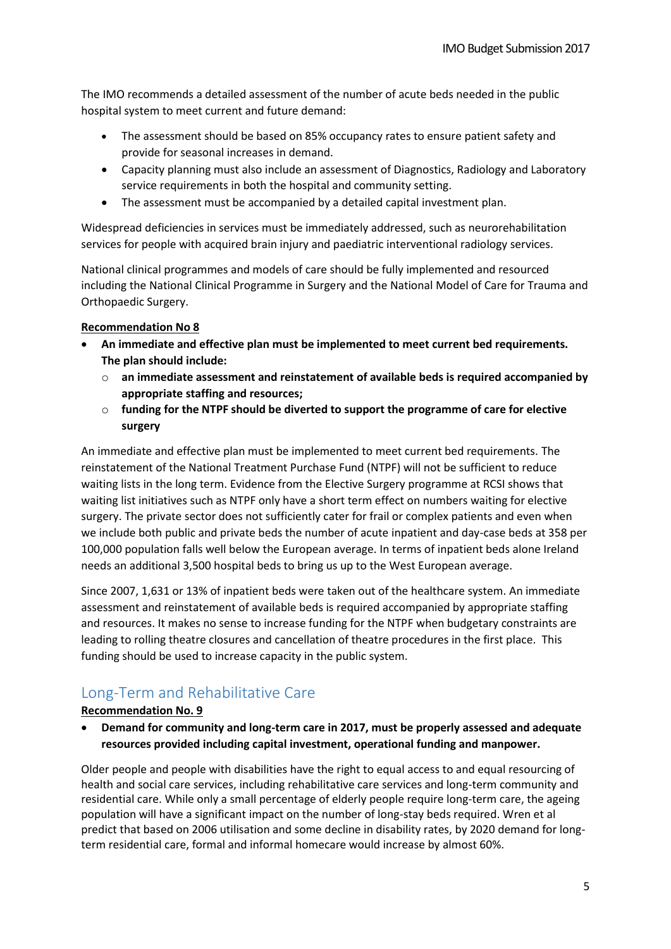The IMO recommends a detailed assessment of the number of acute beds needed in the public hospital system to meet current and future demand:

- The assessment should be based on 85% occupancy rates to ensure patient safety and provide for seasonal increases in demand.
- Capacity planning must also include an assessment of Diagnostics, Radiology and Laboratory service requirements in both the hospital and community setting.
- The assessment must be accompanied by a detailed capital investment plan.

Widespread deficiencies in services must be immediately addressed, such as neurorehabilitation services for people with acquired brain injury and paediatric interventional radiology services.

National clinical programmes and models of care should be fully implemented and resourced including the National Clinical Programme in Surgery and the National Model of Care for Trauma and Orthopaedic Surgery.

#### **Recommendation No 8**

- **An immediate and effective plan must be implemented to meet current bed requirements. The plan should include:** 
	- o **an immediate assessment and reinstatement of available beds is required accompanied by appropriate staffing and resources;**
	- o **funding for the NTPF should be diverted to support the programme of care for elective surgery**

An immediate and effective plan must be implemented to meet current bed requirements. The reinstatement of the National Treatment Purchase Fund (NTPF) will not be sufficient to reduce waiting lists in the long term. Evidence from the Elective Surgery programme at RCSI shows that waiting list initiatives such as NTPF only have a short term effect on numbers waiting for elective surgery. The private sector does not sufficiently cater for frail or complex patients and even when we include both public and private beds the number of acute inpatient and day-case beds at 358 per 100,000 population falls well below the European average. In terms of inpatient beds alone Ireland needs an additional 3,500 hospital beds to bring us up to the West European average.

Since 2007, 1,631 or 13% of inpatient beds were taken out of the healthcare system. An immediate assessment and reinstatement of available beds is required accompanied by appropriate staffing and resources. It makes no sense to increase funding for the NTPF when budgetary constraints are leading to rolling theatre closures and cancellation of theatre procedures in the first place. This funding should be used to increase capacity in the public system.

# Long-Term and Rehabilitative Care

### **Recommendation No. 9**

 **Demand for community and long-term care in 2017, must be properly assessed and adequate resources provided including capital investment, operational funding and manpower.**

Older people and people with disabilities have the right to equal access to and equal resourcing of health and social care services, including rehabilitative care services and long-term community and residential care. While only a small percentage of elderly people require long-term care, the ageing population will have a significant impact on the number of long-stay beds required. Wren et al predict that based on 2006 utilisation and some decline in disability rates, by 2020 demand for longterm residential care, formal and informal homecare would increase by almost 60%.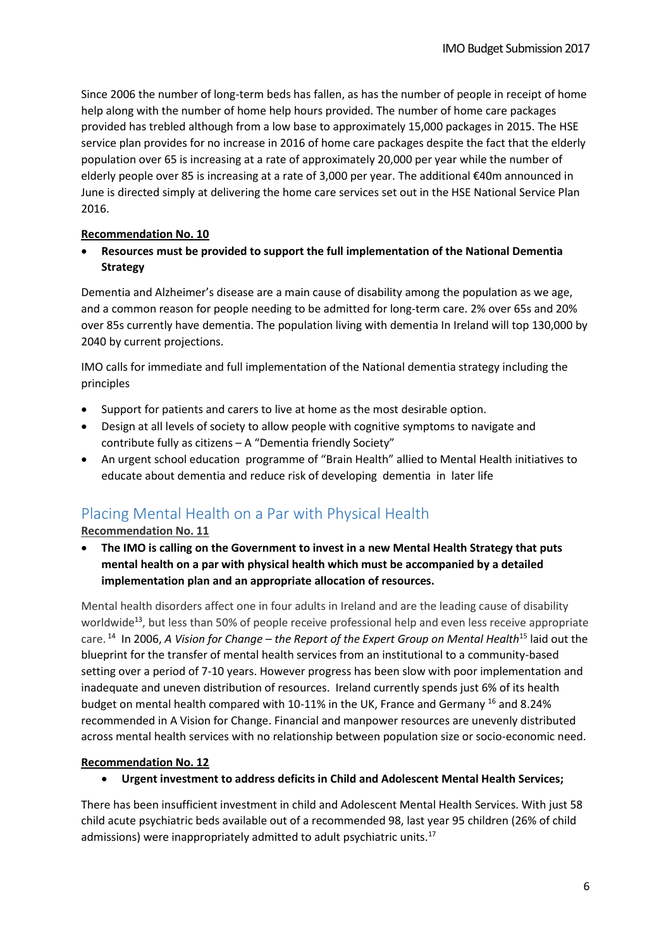Since 2006 the number of long-term beds has fallen, as has the number of people in receipt of home help along with the number of home help hours provided. The number of home care packages provided has trebled although from a low base to approximately 15,000 packages in 2015. The HSE service plan provides for no increase in 2016 of home care packages despite the fact that the elderly population over 65 is increasing at a rate of approximately 20,000 per year while the number of elderly people over 85 is increasing at a rate of 3,000 per year. The additional €40m announced in June is directed simply at delivering the home care services set out in the HSE National Service Plan 2016.

#### **Recommendation No. 10**

 **Resources must be provided to support the full implementation of the National Dementia Strategy**

Dementia and Alzheimer's disease are a main cause of disability among the population as we age, and a common reason for people needing to be admitted for long-term care. 2% over 65s and 20% over 85s currently have dementia. The population living with dementia In Ireland will top 130,000 by 2040 by current projections.

IMO calls for immediate and full implementation of the National dementia strategy including the principles

- Support for patients and carers to live at home as the most desirable option.
- Design at all levels of society to allow people with cognitive symptoms to navigate and contribute fully as citizens – A "Dementia friendly Society"
- An urgent school education programme of "Brain Health" allied to Mental Health initiatives to educate about dementia and reduce risk of developing dementia in later life

# Placing Mental Health on a Par with Physical Health

**Recommendation No. 11**

 **The IMO is calling on the Government to invest in a new Mental Health Strategy that puts mental health on a par with physical health which must be accompanied by a detailed implementation plan and an appropriate allocation of resources.** 

Mental health disorders affect one in four adults in Ireland and are the leading cause of disability worldwide<sup>13</sup>, but less than 50% of people receive professional help and even less receive appropriate care. <sup>14</sup> In 2006, *A Vision for Change – the Report of the Expert Group on Mental Health*<sup>15</sup> laid out the blueprint for the transfer of mental health services from an institutional to a community-based setting over a period of 7-10 years. However progress has been slow with poor implementation and inadequate and uneven distribution of resources. Ireland currently spends just 6% of its health budget on mental health compared with 10-11% in the UK, France and Germany <sup>16</sup> and 8.24% recommended in A Vision for Change. Financial and manpower resources are unevenly distributed across mental health services with no relationship between population size or socio-economic need.

#### **Recommendation No. 12**

**Urgent investment to address deficits in Child and Adolescent Mental Health Services;** 

There has been insufficient investment in child and Adolescent Mental Health Services. With just 58 child acute psychiatric beds available out of a recommended 98, last year 95 children (26% of child admissions) were inappropriately admitted to adult psychiatric units.<sup>17</sup>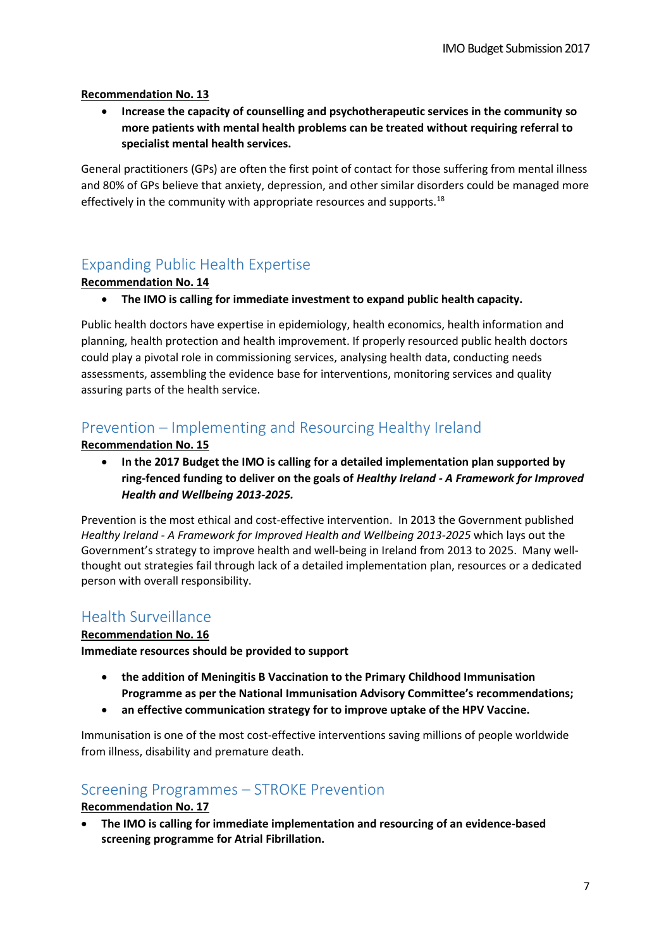#### **Recommendation No. 13**

 **Increase the capacity of counselling and psychotherapeutic services in the community so more patients with mental health problems can be treated without requiring referral to specialist mental health services.**

General practitioners (GPs) are often the first point of contact for those suffering from mental illness and 80% of GPs believe that anxiety, depression, and other similar disorders could be managed more effectively in the community with appropriate resources and supports.<sup>18</sup>

# Expanding Public Health Expertise

#### **Recommendation No. 14**

**The IMO is calling for immediate investment to expand public health capacity.**

Public health doctors have expertise in epidemiology, health economics, health information and planning, health protection and health improvement. If properly resourced public health doctors could play a pivotal role in commissioning services, analysing health data, conducting needs assessments, assembling the evidence base for interventions, monitoring services and quality assuring parts of the health service.

# Prevention – Implementing and Resourcing Healthy Ireland

#### **Recommendation No. 15**

 **In the 2017 Budget the IMO is calling for a detailed implementation plan supported by ring-fenced funding to deliver on the goals of** *Healthy Ireland - A Framework for Improved Health and Wellbeing 2013-2025.* 

Prevention is the most ethical and cost-effective intervention. In 2013 the Government published *Healthy Ireland - A Framework for Improved Health and Wellbeing 2013-2025* which lays out the Government's strategy to improve health and well-being in Ireland from 2013 to 2025. Many wellthought out strategies fail through lack of a detailed implementation plan, resources or a dedicated person with overall responsibility.

### Health Surveillance

#### **Recommendation No. 16**

**Immediate resources should be provided to support**

- **the addition of Meningitis B Vaccination to the Primary Childhood Immunisation Programme as per the National Immunisation Advisory Committee's recommendations;**
- **an effective communication strategy for to improve uptake of the HPV Vaccine.**

Immunisation is one of the most cost-effective interventions saving millions of people worldwide from illness, disability and premature death.

### Screening Programmes – STROKE Prevention

#### **Recommendation No. 17**

 **The IMO is calling for immediate implementation and resourcing of an evidence-based screening programme for Atrial Fibrillation.**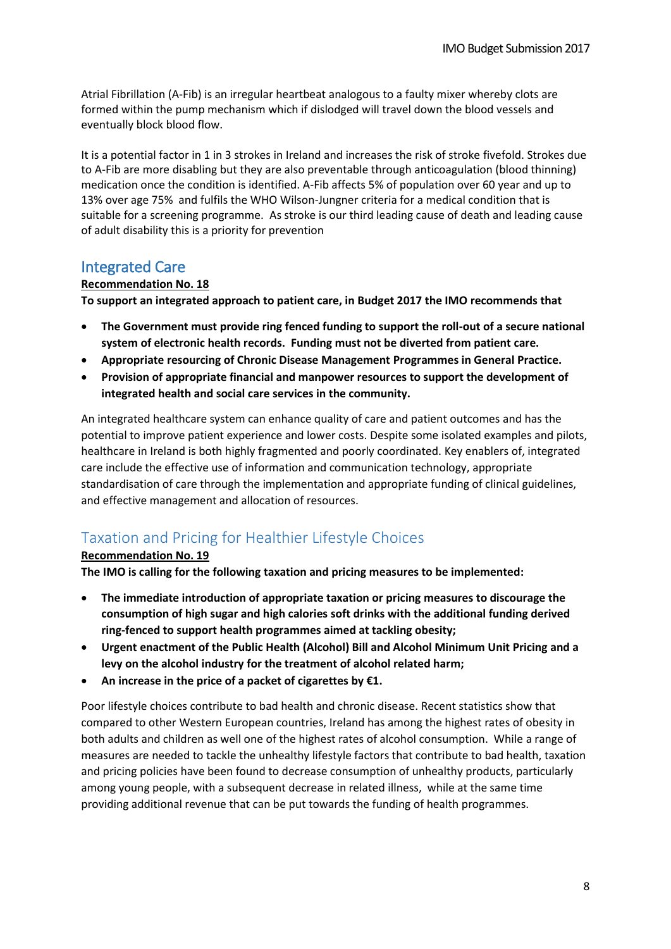Atrial Fibrillation (A-Fib) is an irregular heartbeat analogous to a faulty mixer whereby clots are formed within the pump mechanism which if dislodged will travel down the blood vessels and eventually block blood flow.

It is a potential factor in 1 in 3 strokes in Ireland and increases the risk of stroke fivefold. Strokes due to A-Fib are more disabling but they are also preventable through anticoagulation (blood thinning) medication once the condition is identified. A-Fib affects 5% of population over 60 year and up to 13% over age 75% and fulfils the WHO Wilson-Jungner criteria for a medical condition that is suitable for a screening programme. As stroke is our third leading cause of death and leading cause of adult disability this is a priority for prevention

# Integrated Care

#### **Recommendation No. 18**

**To support an integrated approach to patient care, in Budget 2017 the IMO recommends that** 

- **The Government must provide ring fenced funding to support the roll-out of a secure national system of electronic health records. Funding must not be diverted from patient care.**
- **Appropriate resourcing of Chronic Disease Management Programmes in General Practice.**
- **Provision of appropriate financial and manpower resources to support the development of integrated health and social care services in the community.**

An integrated healthcare system can enhance quality of care and patient outcomes and has the potential to improve patient experience and lower costs. Despite some isolated examples and pilots, healthcare in Ireland is both highly fragmented and poorly coordinated. Key enablers of, integrated care include the effective use of information and communication technology, appropriate standardisation of care through the implementation and appropriate funding of clinical guidelines, and effective management and allocation of resources.

# Taxation and Pricing for Healthier Lifestyle Choices

### **Recommendation No. 19**

**The IMO is calling for the following taxation and pricing measures to be implemented:**

- **The immediate introduction of appropriate taxation or pricing measures to discourage the consumption of high sugar and high calories soft drinks with the additional funding derived ring-fenced to support health programmes aimed at tackling obesity;**
- **Urgent enactment of the Public Health (Alcohol) Bill and Alcohol Minimum Unit Pricing and a levy on the alcohol industry for the treatment of alcohol related harm;**
- **An increase in the price of a packet of cigarettes by €1.**

Poor lifestyle choices contribute to bad health and chronic disease. Recent statistics show that compared to other Western European countries, Ireland has among the highest rates of obesity in both adults and children as well one of the highest rates of alcohol consumption. While a range of measures are needed to tackle the unhealthy lifestyle factors that contribute to bad health, taxation and pricing policies have been found to decrease consumption of unhealthy products, particularly among young people, with a subsequent decrease in related illness, while at the same time providing additional revenue that can be put towards the funding of health programmes.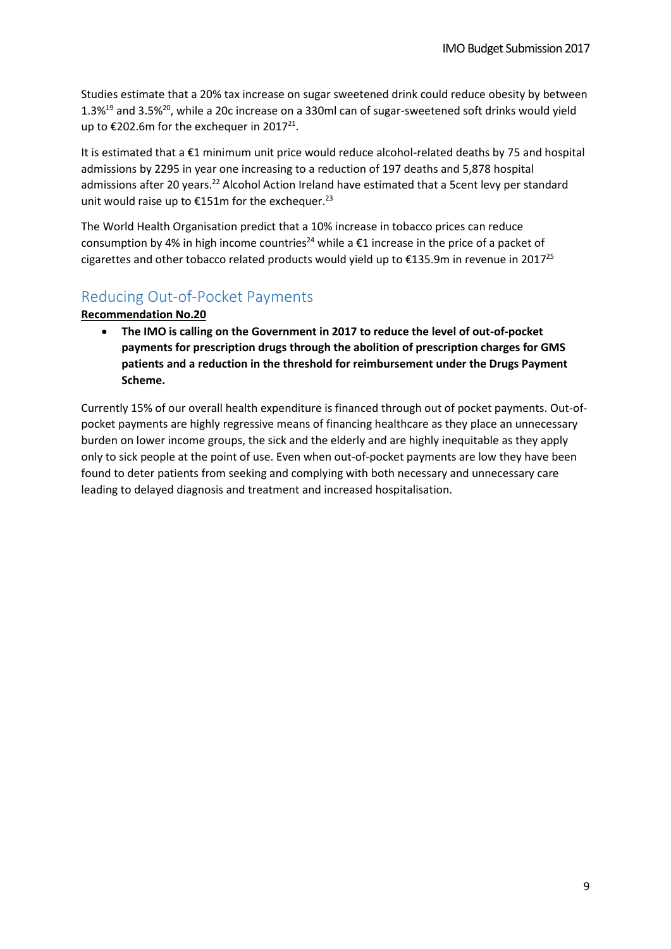Studies estimate that a 20% tax increase on sugar sweetened drink could reduce obesity by between 1.3%<sup>19</sup> and 3.5%<sup>20</sup>, while a 20c increase on a 330ml can of sugar-sweetened soft drinks would yield up to €202.6m for the exchequer in 2017<sup>21</sup>.

It is estimated that a €1 minimum unit price would reduce alcohol-related deaths by 75 and hospital admissions by 2295 in year one increasing to a reduction of 197 deaths and 5,878 hospital admissions after 20 years.<sup>22</sup> Alcohol Action Ireland have estimated that a 5cent levy per standard unit would raise up to  $£151m$  for the exchequer.<sup>23</sup>

The World Health Organisation predict that a 10% increase in tobacco prices can reduce consumption by 4% in high income countries<sup>24</sup> while a  $\epsilon$ 1 increase in the price of a packet of cigarettes and other tobacco related products would yield up to  $\epsilon$ 135.9m in revenue in 2017<sup>25</sup>

## Reducing Out-of-Pocket Payments

**Recommendation No.20**

 **The IMO is calling on the Government in 2017 to reduce the level of out-of-pocket payments for prescription drugs through the abolition of prescription charges for GMS patients and a reduction in the threshold for reimbursement under the Drugs Payment Scheme.** 

Currently 15% of our overall health expenditure is financed through out of pocket payments. Out-ofpocket payments are highly regressive means of financing healthcare as they place an unnecessary burden on lower income groups, the sick and the elderly and are highly inequitable as they apply only to sick people at the point of use. Even when out-of-pocket payments are low they have been found to deter patients from seeking and complying with both necessary and unnecessary care leading to delayed diagnosis and treatment and increased hospitalisation.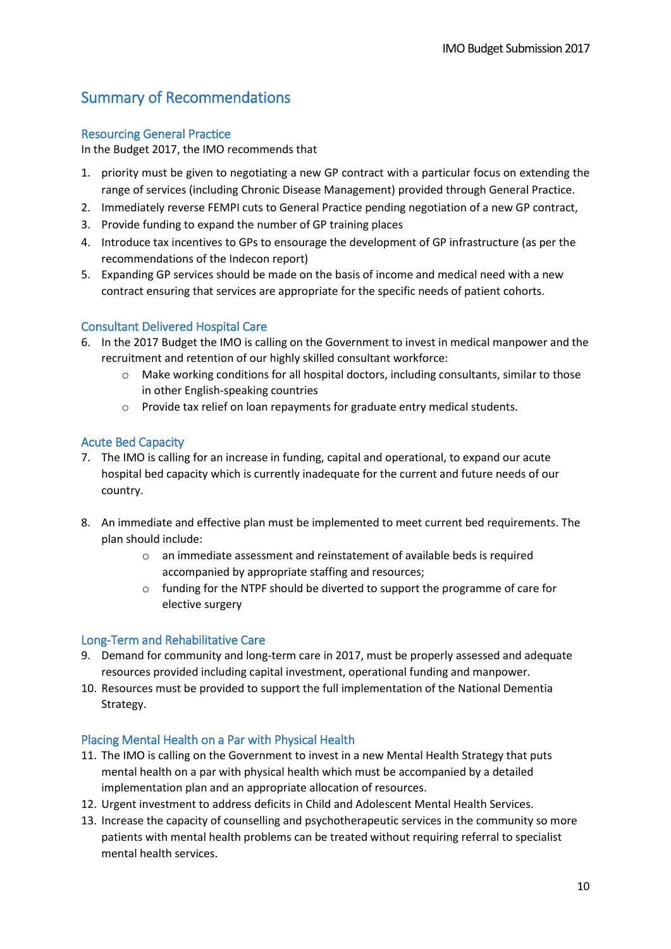# Summary of Recommendations

### Resourcing General Practice

In the Budget 2017, the IMO recommends that

- 1. priority must be given to negotiating a new GP contract with a particular focus on extending the range of services (including Chronic Disease Management) provided through General Practice.
- 2. Immediately reverse FEMPI cuts to General Practice pending negotiation of a new GP contract,
- 3. Provide funding to expand the number of GP training places
- 4. Introduce tax incentives to GPs to ensourage the development of GP infrastructure (as per the recommendations of the Indecon report)
- 5. Expanding GP services should be made on the basis of income and medical need with a new contract ensuring that services are appropriate for the specific needs of patient cohorts.

### Consultant Delivered Hospital Care

- 6. In the 2017 Budget the IMO is calling on the Government to invest in medical manpower and the recruitment and retention of our highly skilled consultant workforce:
	- o Make working conditions for all hospital doctors, including consultants, similar to those in other English-speaking countries
	- o Provide tax relief on loan repayments for graduate entry medical students.

### Acute Bed Capacity

- 7. The IMO is calling for an increase in funding, capital and operational, to expand our acute hospital bed capacity which is currently inadequate for the current and future needs of our country.
- 8. An immediate and effective plan must be implemented to meet current bed requirements. The plan should include:
	- o an immediate assessment and reinstatement of available beds is required accompanied by appropriate staffing and resources;
	- $\circ$  funding for the NTPF should be diverted to support the programme of care for elective surgery

### Long-Term and Rehabilitative Care

- 9. Demand for community and long-term care in 2017, must be properly assessed and adequate resources provided including capital investment, operational funding and manpower.
- 10. Resources must be provided to support the full implementation of the National Dementia Strategy.

### Placing Mental Health on a Par with Physical Health

- 11. The IMO is calling on the Government to invest in a new Mental Health Strategy that puts mental health on a par with physical health which must be accompanied by a detailed implementation plan and an appropriate allocation of resources.
- 12. Urgent investment to address deficits in Child and Adolescent Mental Health Services.
- 13. Increase the capacity of counselling and psychotherapeutic services in the community so more patients with mental health problems can be treated without requiring referral to specialist mental health services.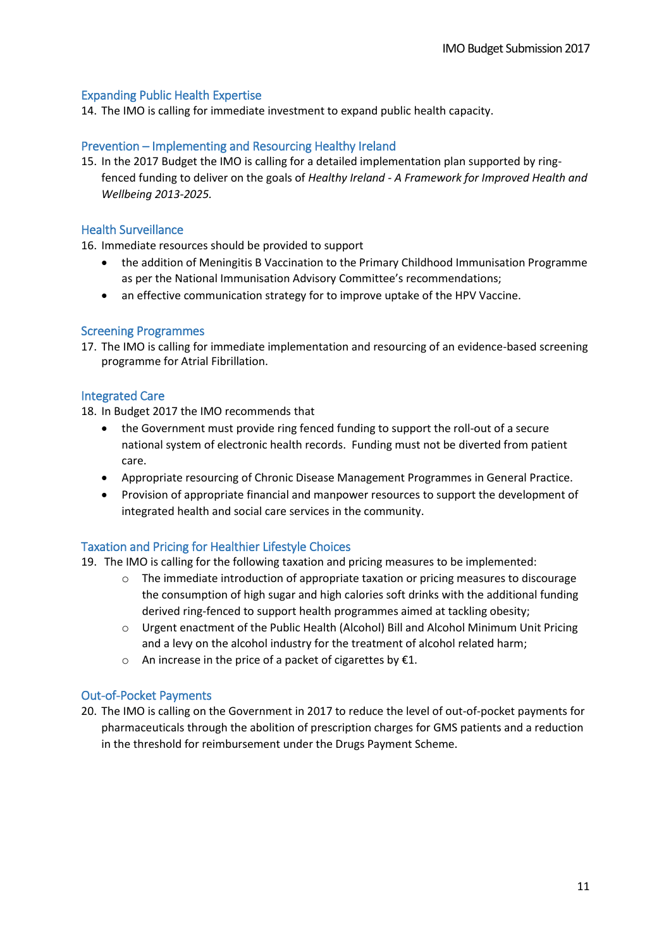#### Expanding Public Health Expertise

14. The IMO is calling for immediate investment to expand public health capacity.

#### Prevention – Implementing and Resourcing Healthy Ireland

15. In the 2017 Budget the IMO is calling for a detailed implementation plan supported by ringfenced funding to deliver on the goals of *Healthy Ireland - A Framework for Improved Health and Wellbeing 2013-2025.* 

#### Health Surveillance

16. Immediate resources should be provided to support

- the addition of Meningitis B Vaccination to the Primary Childhood Immunisation Programme as per the National Immunisation Advisory Committee's recommendations;
- an effective communication strategy for to improve uptake of the HPV Vaccine.

#### Screening Programmes

17. The IMO is calling for immediate implementation and resourcing of an evidence-based screening programme for Atrial Fibrillation.

#### Integrated Care

18. In Budget 2017 the IMO recommends that

- the Government must provide ring fenced funding to support the roll-out of a secure national system of electronic health records. Funding must not be diverted from patient care.
- Appropriate resourcing of Chronic Disease Management Programmes in General Practice.
- Provision of appropriate financial and manpower resources to support the development of integrated health and social care services in the community.

#### Taxation and Pricing for Healthier Lifestyle Choices

- 19. The IMO is calling for the following taxation and pricing measures to be implemented:
	- $\circ$  The immediate introduction of appropriate taxation or pricing measures to discourage the consumption of high sugar and high calories soft drinks with the additional funding derived ring-fenced to support health programmes aimed at tackling obesity;
	- o Urgent enactment of the Public Health (Alcohol) Bill and Alcohol Minimum Unit Pricing and a levy on the alcohol industry for the treatment of alcohol related harm;
	- o An increase in the price of a packet of cigarettes by  $E1$ .

#### Out-of-Pocket Payments

20. The IMO is calling on the Government in 2017 to reduce the level of out-of-pocket payments for pharmaceuticals through the abolition of prescription charges for GMS patients and a reduction in the threshold for reimbursement under the Drugs Payment Scheme.